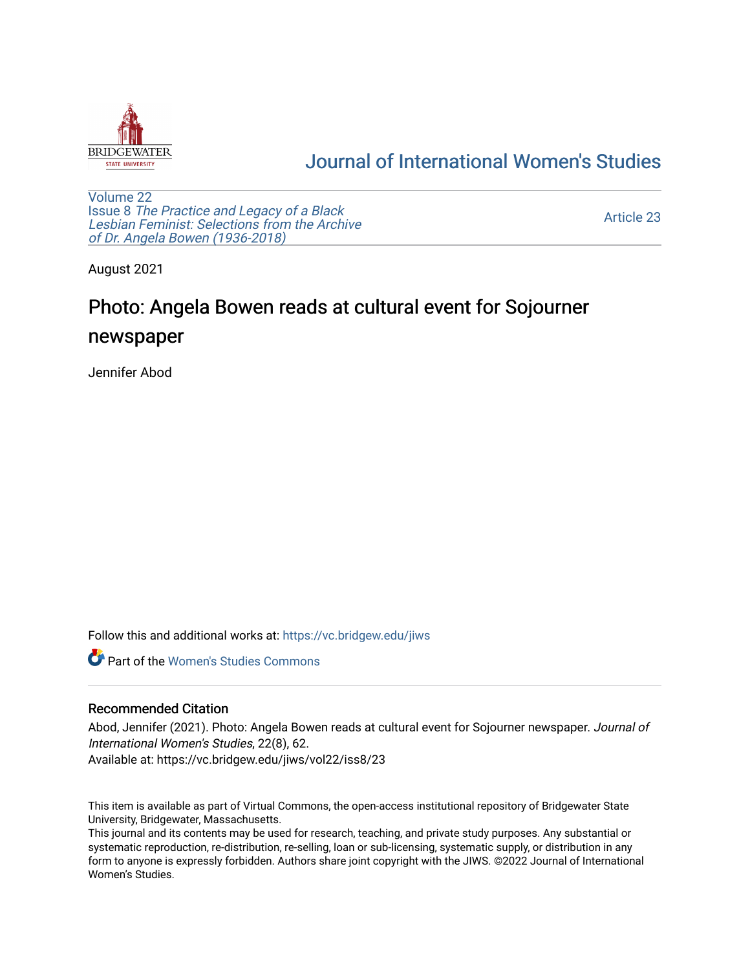

## [Journal of International Women's Studies](https://vc.bridgew.edu/jiws)

[Volume 22](https://vc.bridgew.edu/jiws/vol22) Issue 8 [The Practice and Legacy of a Black](https://vc.bridgew.edu/jiws/vol22/iss8)  [Lesbian Feminist: Selections from the Archive](https://vc.bridgew.edu/jiws/vol22/iss8)  [of Dr. Angela Bowen \(1936-2018\)](https://vc.bridgew.edu/jiws/vol22/iss8)

[Article 23](https://vc.bridgew.edu/jiws/vol22/iss8/23) 

August 2021

## Photo: Angela Bowen reads at cultural event for Sojourner newspaper

Jennifer Abod

Follow this and additional works at: [https://vc.bridgew.edu/jiws](https://vc.bridgew.edu/jiws?utm_source=vc.bridgew.edu%2Fjiws%2Fvol22%2Fiss8%2F23&utm_medium=PDF&utm_campaign=PDFCoverPages)

**C** Part of the Women's Studies Commons

## Recommended Citation

Abod, Jennifer (2021). Photo: Angela Bowen reads at cultural event for Sojourner newspaper. Journal of International Women's Studies, 22(8), 62.

Available at: https://vc.bridgew.edu/jiws/vol22/iss8/23

This item is available as part of Virtual Commons, the open-access institutional repository of Bridgewater State University, Bridgewater, Massachusetts.

This journal and its contents may be used for research, teaching, and private study purposes. Any substantial or systematic reproduction, re-distribution, re-selling, loan or sub-licensing, systematic supply, or distribution in any form to anyone is expressly forbidden. Authors share joint copyright with the JIWS. ©2022 Journal of International Women's Studies.